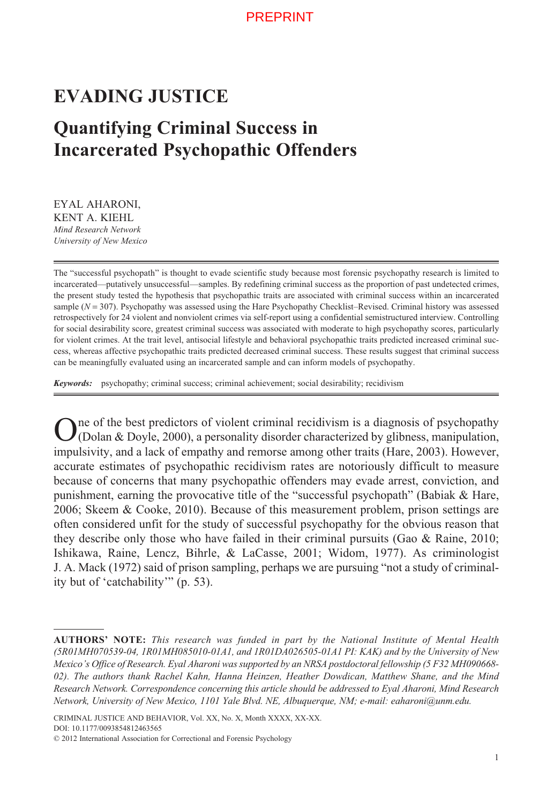# PREPRINT

# **EVADING JUSTICE Quantifying Criminal Success in Incarcerated Psychopathic Offenders**

EYAL AHARONI, KENT A. KIEHL *Mind Research Network University of New Mexico*

The "successful psychopath" is thought to evade scientific study because most forensic psychopathy research is limited to incarcerated—putatively unsuccessful—samples. By redefining criminal success as the proportion of past undetected crimes, the present study tested the hypothesis that psychopathic traits are associated with criminal success within an incarcerated sample ( $N = 307$ ). Psychopathy was assessed using the Hare Psychopathy Checklist–Revised. Criminal history was assessed retrospectively for 24 violent and nonviolent crimes via self-report using a confidential semistructured interview. Controlling for social desirability score, greatest criminal success was associated with moderate to high psychopathy scores, particularly for violent crimes. At the trait level, antisocial lifestyle and behavioral psychopathic traits predicted increased criminal success, whereas affective psychopathic traits predicted decreased criminal success. These results suggest that criminal success can be meaningfully evaluated using an incarcerated sample and can inform models of psychopathy.

*Keywords:* psychopathy; criminal success; criminal achievement; social desirability; recidivism

One of the best predictors of violent criminal recidivism is a diagnosis of psychopathy (Dolan & Doyle, 2000), a personality disorder characterized by glibness, manipulation, impulsivity, and a lack of empathy and remorse among other traits (Hare, 2003). However, accurate estimates of psychopathic recidivism rates are notoriously difficult to measure because of concerns that many psychopathic offenders may evade arrest, conviction, and punishment, earning the provocative title of the "successful psychopath" (Babiak & Hare, 2006; Skeem & Cooke, 2010). Because of this measurement problem, prison settings are often considered unfit for the study of successful psychopathy for the obvious reason that they describe only those who have failed in their criminal pursuits (Gao & Raine, 2010; Ishikawa, Raine, Lencz, Bihrle, & LaCasse, 2001; Widom, 1977). As criminologist J. A. Mack (1972) said of prison sampling, perhaps we are pursuing "not a study of criminality but of 'catchability'" (p. 53).

CRIMINAL JUSTICE AND BEHAVIOR, Vol. XX, No. X, Month XXXX, XX-XX. DOI: 10.1177/0093854812463565

**AUTHORS' NOTE:** *This research was funded in part by the National Institute of Mental Health (5R01MH070539-04, 1R01MH085010-01A1, and 1R01DA026505-01A1 PI: KAK) and by the University of New Mexico's Office of Research. Eyal Aharoni was supported by an NRSA postdoctoral fellowship (5 F32 MH090668- 02). The authors thank Rachel Kahn, Hanna Heinzen, Heather Dowdican, Matthew Shane, and the Mind Research Network. Correspondence concerning this article should be addressed to Eyal Aharoni, Mind Research Network, University of New Mexico, 1101 Yale Blvd. NE, Albuquerque, NM; e-mail: eaharoni@unm.edu.*

<sup>© 2012</sup> International Association for Correctional and Forensic Psychology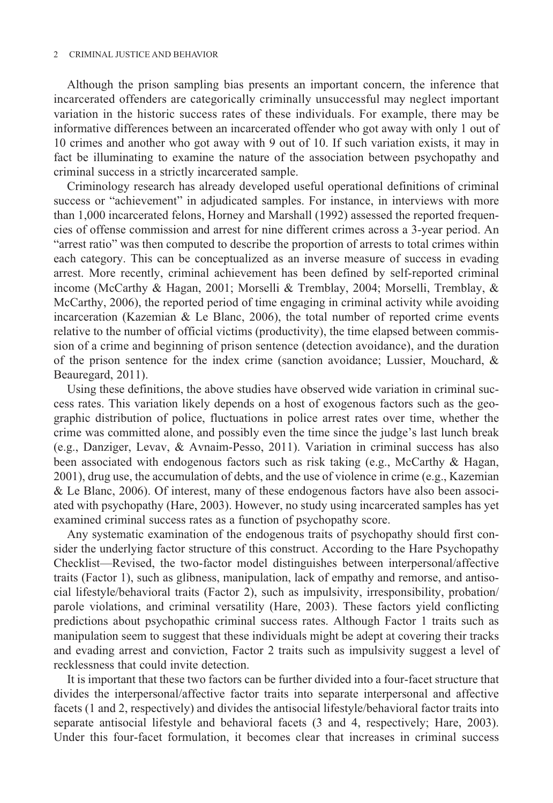#### 2 CRIMINAL JUSTICE AND BEHAVIOR

Although the prison sampling bias presents an important concern, the inference that incarcerated offenders are categorically criminally unsuccessful may neglect important variation in the historic success rates of these individuals. For example, there may be informative differences between an incarcerated offender who got away with only 1 out of 10 crimes and another who got away with 9 out of 10. If such variation exists, it may in fact be illuminating to examine the nature of the association between psychopathy and criminal success in a strictly incarcerated sample.

Criminology research has already developed useful operational definitions of criminal success or "achievement" in adjudicated samples. For instance, in interviews with more than 1,000 incarcerated felons, Horney and Marshall (1992) assessed the reported frequencies of offense commission and arrest for nine different crimes across a 3-year period. An "arrest ratio" was then computed to describe the proportion of arrests to total crimes within each category. This can be conceptualized as an inverse measure of success in evading arrest. More recently, criminal achievement has been defined by self-reported criminal income (McCarthy & Hagan, 2001; Morselli & Tremblay, 2004; Morselli, Tremblay, & McCarthy, 2006), the reported period of time engaging in criminal activity while avoiding incarceration (Kazemian  $\&$  Le Blanc, 2006), the total number of reported crime events relative to the number of official victims (productivity), the time elapsed between commission of a crime and beginning of prison sentence (detection avoidance), and the duration of the prison sentence for the index crime (sanction avoidance; Lussier, Mouchard, & Beauregard, 2011).

Using these definitions, the above studies have observed wide variation in criminal success rates. This variation likely depends on a host of exogenous factors such as the geographic distribution of police, fluctuations in police arrest rates over time, whether the crime was committed alone, and possibly even the time since the judge's last lunch break (e.g., Danziger, Levav, & Avnaim-Pesso, 2011). Variation in criminal success has also been associated with endogenous factors such as risk taking (e.g., McCarthy & Hagan, 2001), drug use, the accumulation of debts, and the use of violence in crime (e.g., Kazemian & Le Blanc, 2006). Of interest, many of these endogenous factors have also been associated with psychopathy (Hare, 2003). However, no study using incarcerated samples has yet examined criminal success rates as a function of psychopathy score.

Any systematic examination of the endogenous traits of psychopathy should first consider the underlying factor structure of this construct. According to the Hare Psychopathy Checklist—Revised, the two-factor model distinguishes between interpersonal/affective traits (Factor 1), such as glibness, manipulation, lack of empathy and remorse, and antisocial lifestyle/behavioral traits (Factor 2), such as impulsivity, irresponsibility, probation/ parole violations, and criminal versatility (Hare, 2003). These factors yield conflicting predictions about psychopathic criminal success rates. Although Factor 1 traits such as manipulation seem to suggest that these individuals might be adept at covering their tracks and evading arrest and conviction, Factor 2 traits such as impulsivity suggest a level of recklessness that could invite detection.

It is important that these two factors can be further divided into a four-facet structure that divides the interpersonal/affective factor traits into separate interpersonal and affective facets (1 and 2, respectively) and divides the antisocial lifestyle/behavioral factor traits into separate antisocial lifestyle and behavioral facets (3 and 4, respectively; Hare, 2003). Under this four-facet formulation, it becomes clear that increases in criminal success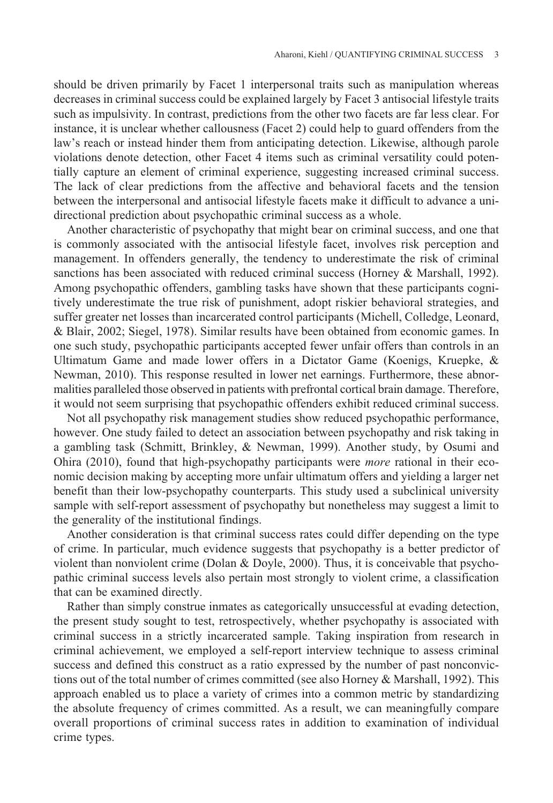should be driven primarily by Facet 1 interpersonal traits such as manipulation whereas decreases in criminal success could be explained largely by Facet 3 antisocial lifestyle traits such as impulsivity. In contrast, predictions from the other two facets are far less clear. For instance, it is unclear whether callousness (Facet 2) could help to guard offenders from the law's reach or instead hinder them from anticipating detection. Likewise, although parole violations denote detection, other Facet 4 items such as criminal versatility could potentially capture an element of criminal experience, suggesting increased criminal success. The lack of clear predictions from the affective and behavioral facets and the tension between the interpersonal and antisocial lifestyle facets make it difficult to advance a unidirectional prediction about psychopathic criminal success as a whole.

Another characteristic of psychopathy that might bear on criminal success, and one that is commonly associated with the antisocial lifestyle facet, involves risk perception and management. In offenders generally, the tendency to underestimate the risk of criminal sanctions has been associated with reduced criminal success (Horney & Marshall, 1992). Among psychopathic offenders, gambling tasks have shown that these participants cognitively underestimate the true risk of punishment, adopt riskier behavioral strategies, and suffer greater net losses than incarcerated control participants (Michell, Colledge, Leonard, & Blair, 2002; Siegel, 1978). Similar results have been obtained from economic games. In one such study, psychopathic participants accepted fewer unfair offers than controls in an Ultimatum Game and made lower offers in a Dictator Game (Koenigs, Kruepke, & Newman, 2010). This response resulted in lower net earnings. Furthermore, these abnormalities paralleled those observed in patients with prefrontal cortical brain damage. Therefore, it would not seem surprising that psychopathic offenders exhibit reduced criminal success.

Not all psychopathy risk management studies show reduced psychopathic performance, however. One study failed to detect an association between psychopathy and risk taking in a gambling task (Schmitt, Brinkley, & Newman, 1999). Another study, by Osumi and Ohira (2010), found that high-psychopathy participants were *more* rational in their economic decision making by accepting more unfair ultimatum offers and yielding a larger net benefit than their low-psychopathy counterparts. This study used a subclinical university sample with self-report assessment of psychopathy but nonetheless may suggest a limit to the generality of the institutional findings.

Another consideration is that criminal success rates could differ depending on the type of crime. In particular, much evidence suggests that psychopathy is a better predictor of violent than nonviolent crime (Dolan & Doyle, 2000). Thus, it is conceivable that psychopathic criminal success levels also pertain most strongly to violent crime, a classification that can be examined directly.

Rather than simply construe inmates as categorically unsuccessful at evading detection, the present study sought to test, retrospectively, whether psychopathy is associated with criminal success in a strictly incarcerated sample. Taking inspiration from research in criminal achievement, we employed a self-report interview technique to assess criminal success and defined this construct as a ratio expressed by the number of past nonconvictions out of the total number of crimes committed (see also Horney & Marshall, 1992). This approach enabled us to place a variety of crimes into a common metric by standardizing the absolute frequency of crimes committed. As a result, we can meaningfully compare overall proportions of criminal success rates in addition to examination of individual crime types.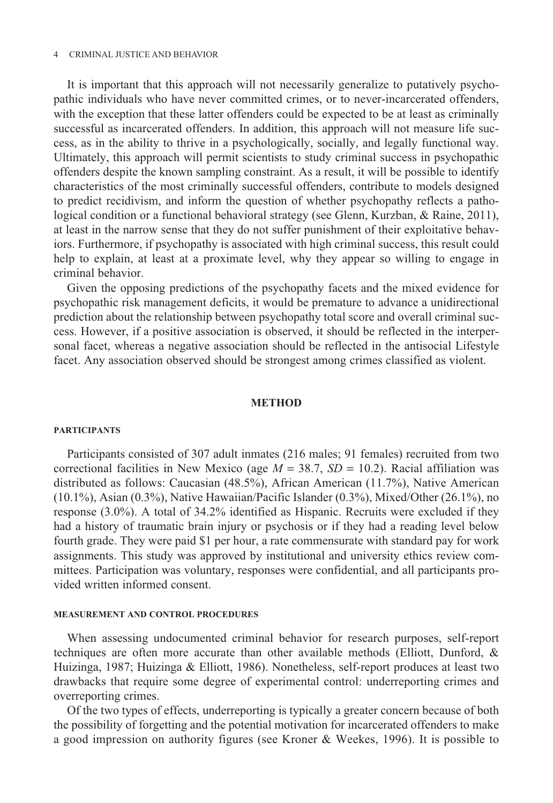#### 4 CRIMINAL JUSTICE AND BEHAVIOR

It is important that this approach will not necessarily generalize to putatively psychopathic individuals who have never committed crimes, or to never-incarcerated offenders, with the exception that these latter offenders could be expected to be at least as criminally successful as incarcerated offenders. In addition, this approach will not measure life success, as in the ability to thrive in a psychologically, socially, and legally functional way. Ultimately, this approach will permit scientists to study criminal success in psychopathic offenders despite the known sampling constraint. As a result, it will be possible to identify characteristics of the most criminally successful offenders, contribute to models designed to predict recidivism, and inform the question of whether psychopathy reflects a pathological condition or a functional behavioral strategy (see Glenn, Kurzban, & Raine, 2011), at least in the narrow sense that they do not suffer punishment of their exploitative behaviors. Furthermore, if psychopathy is associated with high criminal success, this result could help to explain, at least at a proximate level, why they appear so willing to engage in criminal behavior.

Given the opposing predictions of the psychopathy facets and the mixed evidence for psychopathic risk management deficits, it would be premature to advance a unidirectional prediction about the relationship between psychopathy total score and overall criminal success. However, if a positive association is observed, it should be reflected in the interpersonal facet, whereas a negative association should be reflected in the antisocial Lifestyle facet. Any association observed should be strongest among crimes classified as violent.

# **METHOD**

# **PARTICIPANTS**

Participants consisted of 307 adult inmates (216 males; 91 females) recruited from two correctional facilities in New Mexico (age  $M = 38.7$ ,  $SD = 10.2$ ). Racial affiliation was distributed as follows: Caucasian (48.5%), African American (11.7%), Native American (10.1%), Asian (0.3%), Native Hawaiian/Pacific Islander (0.3%), Mixed/Other (26.1%), no response (3.0%). A total of 34.2% identified as Hispanic. Recruits were excluded if they had a history of traumatic brain injury or psychosis or if they had a reading level below fourth grade. They were paid \$1 per hour, a rate commensurate with standard pay for work assignments. This study was approved by institutional and university ethics review committees. Participation was voluntary, responses were confidential, and all participants provided written informed consent.

# **MEASUREMENT AND CONTROL PROCEDURES**

When assessing undocumented criminal behavior for research purposes, self-report techniques are often more accurate than other available methods (Elliott, Dunford, & Huizinga, 1987; Huizinga & Elliott, 1986). Nonetheless, self-report produces at least two drawbacks that require some degree of experimental control: underreporting crimes and overreporting crimes.

Of the two types of effects, underreporting is typically a greater concern because of both the possibility of forgetting and the potential motivation for incarcerated offenders to make a good impression on authority figures (see Kroner & Weekes, 1996). It is possible to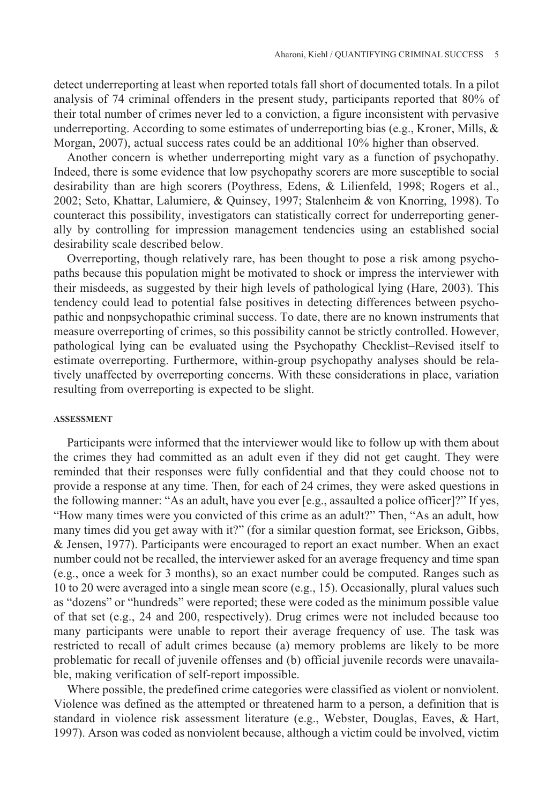detect underreporting at least when reported totals fall short of documented totals. In a pilot analysis of 74 criminal offenders in the present study, participants reported that 80% of their total number of crimes never led to a conviction, a figure inconsistent with pervasive underreporting. According to some estimates of underreporting bias (e.g., Kroner, Mills, & Morgan, 2007), actual success rates could be an additional 10% higher than observed.

Another concern is whether underreporting might vary as a function of psychopathy. Indeed, there is some evidence that low psychopathy scorers are more susceptible to social desirability than are high scorers (Poythress, Edens, & Lilienfeld, 1998; Rogers et al., 2002; Seto, Khattar, Lalumiere, & Quinsey, 1997; Stalenheim & von Knorring, 1998). To counteract this possibility, investigators can statistically correct for underreporting generally by controlling for impression management tendencies using an established social desirability scale described below.

Overreporting, though relatively rare, has been thought to pose a risk among psychopaths because this population might be motivated to shock or impress the interviewer with their misdeeds, as suggested by their high levels of pathological lying (Hare, 2003). This tendency could lead to potential false positives in detecting differences between psychopathic and nonpsychopathic criminal success. To date, there are no known instruments that measure overreporting of crimes, so this possibility cannot be strictly controlled. However, pathological lying can be evaluated using the Psychopathy Checklist–Revised itself to estimate overreporting. Furthermore, within-group psychopathy analyses should be relatively unaffected by overreporting concerns. With these considerations in place, variation resulting from overreporting is expected to be slight.

#### **ASSESSMENT**

Participants were informed that the interviewer would like to follow up with them about the crimes they had committed as an adult even if they did not get caught. They were reminded that their responses were fully confidential and that they could choose not to provide a response at any time. Then, for each of 24 crimes, they were asked questions in the following manner: "As an adult, have you ever [e.g., assaulted a police officer]?" If yes, "How many times were you convicted of this crime as an adult?" Then, "As an adult, how many times did you get away with it?" (for a similar question format, see Erickson, Gibbs, & Jensen, 1977). Participants were encouraged to report an exact number. When an exact number could not be recalled, the interviewer asked for an average frequency and time span (e.g., once a week for 3 months), so an exact number could be computed. Ranges such as 10 to 20 were averaged into a single mean score (e.g., 15). Occasionally, plural values such as "dozens" or "hundreds" were reported; these were coded as the minimum possible value of that set (e.g., 24 and 200, respectively). Drug crimes were not included because too many participants were unable to report their average frequency of use. The task was restricted to recall of adult crimes because (a) memory problems are likely to be more problematic for recall of juvenile offenses and (b) official juvenile records were unavailable, making verification of self-report impossible.

Where possible, the predefined crime categories were classified as violent or nonviolent. Violence was defined as the attempted or threatened harm to a person, a definition that is standard in violence risk assessment literature (e.g., Webster, Douglas, Eaves, & Hart, 1997). Arson was coded as nonviolent because, although a victim could be involved, victim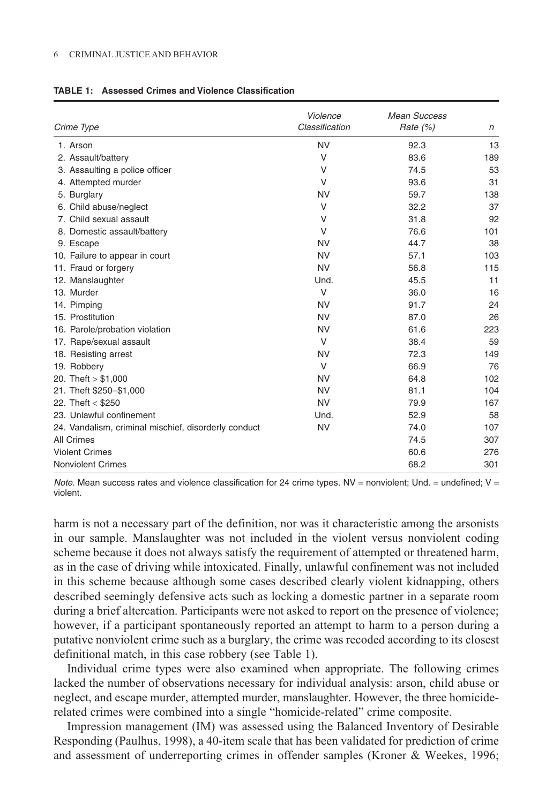**TABLE 1: Assessed Crimes and Violence Classification**

| Crime Type                                           | Violence<br>Classification | <b>Mean Success</b><br>Rate (%) | n   |
|------------------------------------------------------|----------------------------|---------------------------------|-----|
| 1. Arson                                             | <b>NV</b>                  | 92.3                            | 13  |
| 2. Assault/battery                                   | $\vee$                     | 83.6                            | 189 |
| 3. Assaulting a police officer                       | $\vee$                     | 74.5                            | 53  |
| 4. Attempted murder                                  | V                          | 93.6                            | 31  |
| 5. Burglary                                          | <b>NV</b>                  | 59.7                            | 138 |
| 6. Child abuse/neglect                               | V                          | 32.2                            | 37  |
| 7. Child sexual assault                              | V                          | 31.8                            | 92  |
| 8. Domestic assault/battery                          | V                          | 76.6                            | 101 |
| 9. Escape                                            | <b>NV</b>                  | 44.7                            | 38  |
| 10. Failure to appear in court                       | <b>NV</b>                  | 57.1                            | 103 |
| 11. Fraud or forgery                                 | <b>NV</b>                  | 56.8                            | 115 |
| 12. Manslaughter                                     | Und.                       | 45.5                            | 11  |
| 13. Murder                                           | $\vee$                     | 36.0                            | 16  |
| 14. Pimping                                          | <b>NV</b>                  | 91.7                            | 24  |
| 15. Prostitution                                     | <b>NV</b>                  | 87.0                            | 26  |
| 16. Parole/probation violation                       | <b>NV</b>                  | 61.6                            | 223 |
| 17. Rape/sexual assault                              | $\vee$                     | 38.4                            | 59  |
| 18. Resisting arrest                                 | <b>NV</b>                  | 72.3                            | 149 |
| 19. Robbery                                          | $\vee$                     | 66.9                            | 76  |
| 20. Theft $> $1,000$                                 | <b>NV</b>                  | 64.8                            | 102 |
| 21. Theft \$250-\$1,000                              | <b>NV</b>                  | 81.1                            | 104 |
| 22. Theft $<$ \$250                                  | <b>NV</b>                  | 79.9                            | 167 |
| 23. Unlawful confinement                             | Und.                       | 52.9                            | 58  |
| 24. Vandalism, criminal mischief, disorderly conduct | <b>NV</b>                  | 74.0                            | 107 |
| <b>All Crimes</b>                                    |                            | 74.5                            | 307 |
| <b>Violent Crimes</b>                                |                            | 60.6                            | 276 |
| <b>Nonviolent Crimes</b>                             |                            | 68.2                            | 301 |

*Note*. Mean success rates and violence classification for 24 crime types. NV = nonviolent; Und. = undefined; V = violent.

harm is not a necessary part of the definition, nor was it characteristic among the arsonists in our sample. Manslaughter was not included in the violent versus nonviolent coding scheme because it does not always satisfy the requirement of attempted or threatened harm, as in the case of driving while intoxicated. Finally, unlawful confinement was not included in this scheme because although some cases described clearly violent kidnapping, others described seemingly defensive acts such as locking a domestic partner in a separate room during a brief altercation. Participants were not asked to report on the presence of violence; however, if a participant spontaneously reported an attempt to harm to a person during a putative nonviolent crime such as a burglary, the crime was recoded according to its closest definitional match, in this case robbery (see Table 1).

Individual crime types were also examined when appropriate. The following crimes lacked the number of observations necessary for individual analysis: arson, child abuse or neglect, and escape murder, attempted murder, manslaughter. However, the three homiciderelated crimes were combined into a single "homicide-related" crime composite.

Impression management (IM) was assessed using the Balanced Inventory of Desirable Responding (Paulhus, 1998), a 40-item scale that has been validated for prediction of crime and assessment of underreporting crimes in offender samples (Kroner & Weekes, 1996;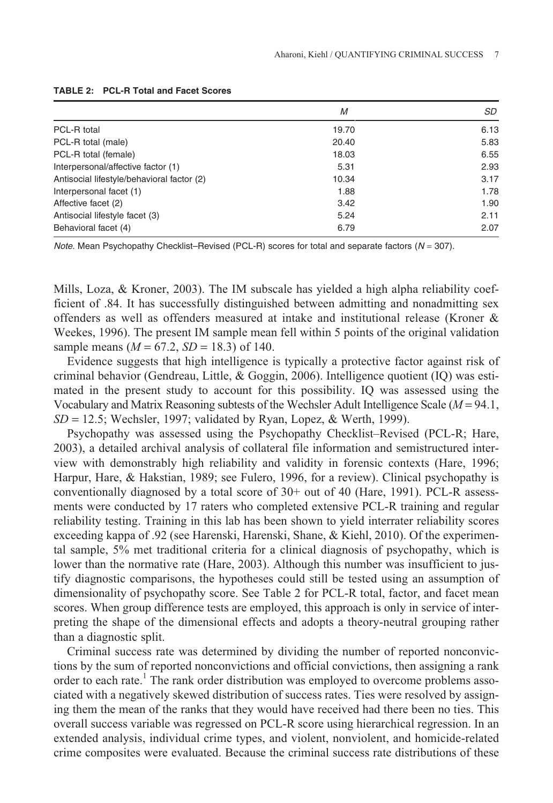|                                            | M     | SD.  |
|--------------------------------------------|-------|------|
| PCL-R total                                | 19.70 | 6.13 |
| PCL-R total (male)                         | 20.40 | 5.83 |
| PCL-R total (female)                       | 18.03 | 6.55 |
| Interpersonal/affective factor (1)         | 5.31  | 2.93 |
| Antisocial lifestyle/behavioral factor (2) | 10.34 | 3.17 |
| Interpersonal facet (1)                    | 1.88  | 1.78 |
| Affective facet (2)                        | 3.42  | 1.90 |
| Antisocial lifestyle facet (3)             | 5.24  | 2.11 |
| Behavioral facet (4)                       | 6.79  | 2.07 |

| <b>TABLE 2: PCL-R Total and Facet Scores</b> |  |  |  |  |
|----------------------------------------------|--|--|--|--|
|----------------------------------------------|--|--|--|--|

*Note*. Mean Psychopathy Checklist–Revised (PCL-R) scores for total and separate factors (*N* = 307).

Mills, Loza, & Kroner, 2003). The IM subscale has yielded a high alpha reliability coefficient of .84. It has successfully distinguished between admitting and nonadmitting sex offenders as well as offenders measured at intake and institutional release (Kroner & Weekes, 1996). The present IM sample mean fell within 5 points of the original validation sample means  $(M = 67.2, SD = 18.3)$  of 140.

Evidence suggests that high intelligence is typically a protective factor against risk of criminal behavior (Gendreau, Little, & Goggin, 2006). Intelligence quotient (IQ) was estimated in the present study to account for this possibility. IQ was assessed using the Vocabulary and Matrix Reasoning subtests of the Wechsler Adult Intelligence Scale (*M* = 94.1, *SD* = 12.5; Wechsler, 1997; validated by Ryan, Lopez, & Werth, 1999).

Psychopathy was assessed using the Psychopathy Checklist–Revised (PCL-R; Hare, 2003), a detailed archival analysis of collateral file information and semistructured interview with demonstrably high reliability and validity in forensic contexts (Hare, 1996; Harpur, Hare, & Hakstian, 1989; see Fulero, 1996, for a review). Clinical psychopathy is conventionally diagnosed by a total score of 30+ out of 40 (Hare, 1991). PCL-R assessments were conducted by 17 raters who completed extensive PCL-R training and regular reliability testing. Training in this lab has been shown to yield interrater reliability scores exceeding kappa of .92 (see Harenski, Harenski, Shane, & Kiehl, 2010). Of the experimental sample, 5% met traditional criteria for a clinical diagnosis of psychopathy, which is lower than the normative rate (Hare, 2003). Although this number was insufficient to justify diagnostic comparisons, the hypotheses could still be tested using an assumption of dimensionality of psychopathy score. See Table 2 for PCL-R total, factor, and facet mean scores. When group difference tests are employed, this approach is only in service of interpreting the shape of the dimensional effects and adopts a theory-neutral grouping rather than a diagnostic split.

Criminal success rate was determined by dividing the number of reported nonconvictions by the sum of reported nonconvictions and official convictions, then assigning a rank order to each rate.<sup>1</sup> The rank order distribution was employed to overcome problems associated with a negatively skewed distribution of success rates. Ties were resolved by assigning them the mean of the ranks that they would have received had there been no ties. This overall success variable was regressed on PCL-R score using hierarchical regression. In an extended analysis, individual crime types, and violent, nonviolent, and homicide-related crime composites were evaluated. Because the criminal success rate distributions of these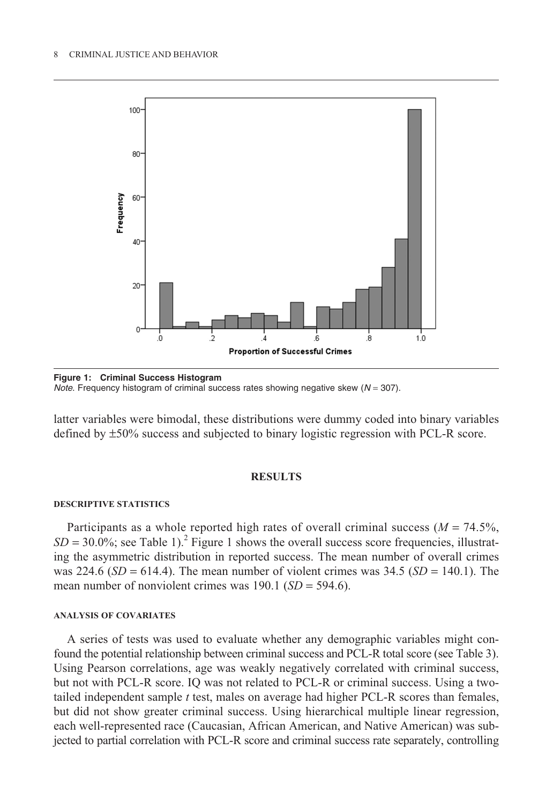

**Figure 1: Criminal Success Histogram** *Note*. Frequency histogram of criminal success rates showing negative skew (*N* = 307).

latter variables were bimodal, these distributions were dummy coded into binary variables defined by ±50% success and subjected to binary logistic regression with PCL-R score.

# **RESULTS**

#### **DESCRIPTIVE STATISTICS**

Participants as a whole reported high rates of overall criminal success ( $M = 74.5\%$ ,  $SD = 30.0\%$ ; see Table 1).<sup>2</sup> Figure 1 shows the overall success score frequencies, illustrating the asymmetric distribution in reported success. The mean number of overall crimes was 224.6 ( $SD = 614.4$ ). The mean number of violent crimes was  $34.5$  ( $SD = 140.1$ ). The mean number of nonviolent crimes was 190.1 (*SD* = 594.6).

# **ANALYSIS OF COVARIATES**

A series of tests was used to evaluate whether any demographic variables might confound the potential relationship between criminal success and PCL-R total score (see Table 3). Using Pearson correlations, age was weakly negatively correlated with criminal success, but not with PCL-R score. IQ was not related to PCL-R or criminal success. Using a twotailed independent sample *t* test, males on average had higher PCL-R scores than females, but did not show greater criminal success. Using hierarchical multiple linear regression, each well-represented race (Caucasian, African American, and Native American) was subjected to partial correlation with PCL-R score and criminal success rate separately, controlling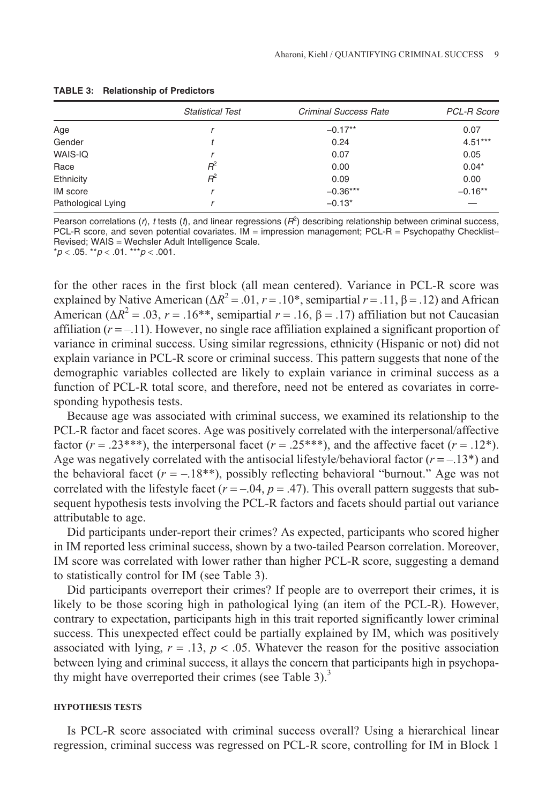|                    | <b>Statistical Test</b> | <b>Criminal Success Rate</b> | <b>PCL-R Score</b> |  |
|--------------------|-------------------------|------------------------------|--------------------|--|
| Age                |                         | $-0.17**$                    | 0.07               |  |
| Gender             |                         | 0.24                         | $4.51***$          |  |
| WAIS-IQ            |                         | 0.07                         | 0.05               |  |
| Race               | $B^2$                   | 0.00                         | $0.04*$            |  |
| Ethnicity          | $\mathsf{R}^2$          | 0.09                         | 0.00               |  |
| IM score           |                         | $-0.36***$                   | $-0.16**$          |  |
| Pathological Lying |                         | $-0.13*$                     |                    |  |

#### **TABLE 3: Relationship of Predictors**

Pearson correlations  $(r)$ , *t* tests  $(t)$ , and linear regressions  $(F^2)$  describing relationship between criminal success, PCL-R score, and seven potential covariates. IM = impression management; PCL-R = Psychopathy Checklist-Revised; WAIS = Wechsler Adult Intelligence Scale.

\**p* < .05. \*\**p* < .01. \*\*\**p* < .001.

for the other races in the first block (all mean centered). Variance in PCL-R score was explained by Native American ( $\Delta R^2 = .01$ ,  $r = .10^*$ , semipartial  $r = .11$ ,  $\beta = .12$ ) and African American ( $\Delta R^2$  = .03, *r* = .16<sup>\*</sup>\*, semipartial *r* = .16,  $\beta$  = .17) affiliation but not Caucasian affiliation  $(r = -11)$ . However, no single race affiliation explained a significant proportion of variance in criminal success. Using similar regressions, ethnicity (Hispanic or not) did not explain variance in PCL-R score or criminal success. This pattern suggests that none of the demographic variables collected are likely to explain variance in criminal success as a function of PCL-R total score, and therefore, need not be entered as covariates in corresponding hypothesis tests.

Because age was associated with criminal success, we examined its relationship to the PCL-R factor and facet scores. Age was positively correlated with the interpersonal/affective factor  $(r = .23***)$ , the interpersonal facet  $(r = .25***)$ , and the affective facet  $(r = .12*)$ . Age was negatively correlated with the antisocial lifestyle/behavioral factor  $(r = -13^*)$  and the behavioral facet  $(r = -.18**)$ , possibly reflecting behavioral "burnout." Age was not correlated with the lifestyle facet ( $r = -.04$ ,  $p = .47$ ). This overall pattern suggests that subsequent hypothesis tests involving the PCL-R factors and facets should partial out variance attributable to age.

Did participants under-report their crimes? As expected, participants who scored higher in IM reported less criminal success, shown by a two-tailed Pearson correlation. Moreover, IM score was correlated with lower rather than higher PCL-R score, suggesting a demand to statistically control for IM (see Table 3).

Did participants overreport their crimes? If people are to overreport their crimes, it is likely to be those scoring high in pathological lying (an item of the PCL-R). However, contrary to expectation, participants high in this trait reported significantly lower criminal success. This unexpected effect could be partially explained by IM, which was positively associated with lying,  $r = .13$ ,  $p < .05$ . Whatever the reason for the positive association between lying and criminal success, it allays the concern that participants high in psychopathy might have overreported their crimes (see Table 3). $3$ 

# **HYPOTHESIS TESTS**

Is PCL-R score associated with criminal success overall? Using a hierarchical linear regression, criminal success was regressed on PCL-R score, controlling for IM in Block 1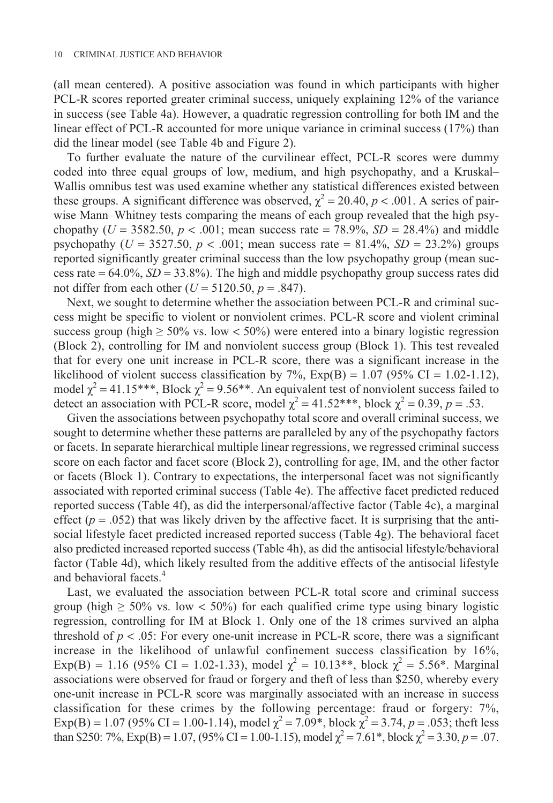(all mean centered). A positive association was found in which participants with higher PCL-R scores reported greater criminal success, uniquely explaining 12% of the variance in success (see Table 4a). However, a quadratic regression controlling for both IM and the linear effect of PCL-R accounted for more unique variance in criminal success (17%) than did the linear model (see Table 4b and Figure 2).

To further evaluate the nature of the curvilinear effect, PCL-R scores were dummy coded into three equal groups of low, medium, and high psychopathy, and a Kruskal– Wallis omnibus test was used examine whether any statistical differences existed between these groups. A significant difference was observed,  $\chi^2 = 20.40$ ,  $p < .001$ . A series of pairwise Mann–Whitney tests comparing the means of each group revealed that the high psychopathy ( $U = 3582.50$ ,  $p < .001$ ; mean success rate = 78.9%,  $SD = 28.4\%$ ) and middle psychopathy ( $U = 3527.50$ ,  $p < .001$ ; mean success rate = 81.4%,  $SD = 23.2%$ ) groups reported significantly greater criminal success than the low psychopathy group (mean success rate  $= 64.0\%$ , *SD* = 33.8%). The high and middle psychopathy group success rates did not differ from each other ( $U = 5120.50$ ,  $p = .847$ ).

Next, we sought to determine whether the association between PCL-R and criminal success might be specific to violent or nonviolent crimes. PCL-R score and violent criminal success group (high  $\geq 50\%$  vs. low  $\lt 50\%$ ) were entered into a binary logistic regression (Block 2), controlling for IM and nonviolent success group (Block 1). This test revealed that for every one unit increase in PCL-R score, there was a significant increase in the likelihood of violent success classification by  $7\%$ ,  $Exp(B) = 1.07$  (95% CI = 1.02-1.12), model  $\chi^2$  = 41.15\*\*\*, Block  $\chi^2$  = 9.56\*\*. An equivalent test of nonviolent success failed to detect an association with PCL-R score, model  $\chi^2 = 41.52^{***}$ , block  $\chi^2 = 0.39$ ,  $p = .53$ .

Given the associations between psychopathy total score and overall criminal success, we sought to determine whether these patterns are paralleled by any of the psychopathy factors or facets. In separate hierarchical multiple linear regressions, we regressed criminal success score on each factor and facet score (Block 2), controlling for age, IM, and the other factor or facets (Block 1). Contrary to expectations, the interpersonal facet was not significantly associated with reported criminal success (Table 4e). The affective facet predicted reduced reported success (Table 4f), as did the interpersonal/affective factor (Table 4c), a marginal effect  $(p = .052)$  that was likely driven by the affective facet. It is surprising that the antisocial lifestyle facet predicted increased reported success (Table 4g). The behavioral facet also predicted increased reported success (Table 4h), as did the antisocial lifestyle/behavioral factor (Table 4d), which likely resulted from the additive effects of the antisocial lifestyle and behavioral facets.<sup>4</sup>

Last, we evaluated the association between PCL-R total score and criminal success group (high  $\geq 50\%$  vs. low  $\lt 50\%$ ) for each qualified crime type using binary logistic regression, controlling for IM at Block 1. Only one of the 18 crimes survived an alpha threshold of  $p < 0.05$ : For every one-unit increase in PCL-R score, there was a significant increase in the likelihood of unlawful confinement success classification by 16%, Exp(B) = 1.16 (95% CI = 1.02-1.33), model  $\chi^2$  = 10.13<sup>\*\*</sup>, block  $\chi^2$  = 5.56<sup>\*</sup>. Marginal associations were observed for fraud or forgery and theft of less than \$250, whereby every one-unit increase in PCL-R score was marginally associated with an increase in success classification for these crimes by the following percentage: fraud or forgery: 7%, Exp(B) = 1.07 (95% CI = 1.00-1.14), model  $\chi^2$  = 7.09\*, block  $\chi^2$  = 3.74, *p* = .053; theft less than \$250: 7%,  $Exp(B) = 1.07$ ,  $(95\% \text{ CI} = 1.00 - 1.15)$ , model  $\chi^2 = 7.61^*$ , block  $\chi^2 = 3.30$ ,  $p = .07$ .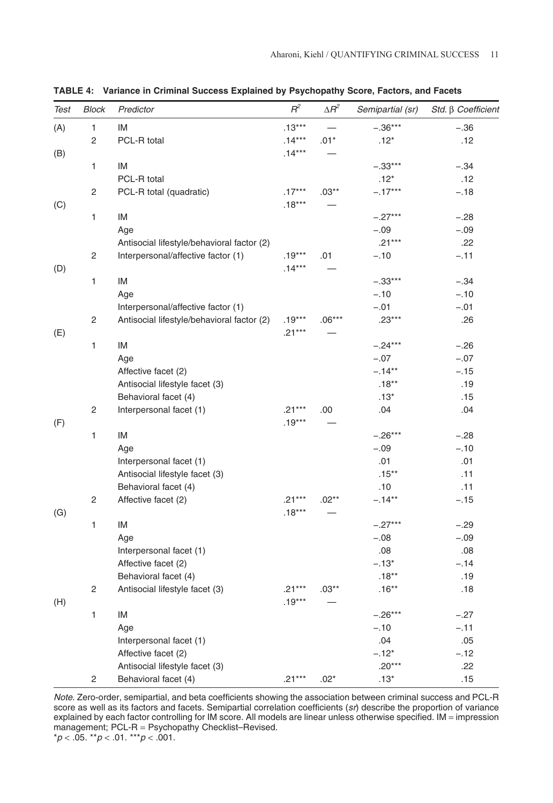| Test | <b>Block</b>   | Predictor                                  | $R^2$    | $\Delta R^2$ | Semipartial (sr) | $Std. \beta$ Coefficient |
|------|----------------|--------------------------------------------|----------|--------------|------------------|--------------------------|
| (A)  | 1              | IM                                         | $.13***$ |              | $-.36***$        | $-.36$                   |
|      | $\mathbf{2}$   | PCL-R total                                | $.14***$ | $.01*$       | $.12*$           | .12                      |
| (B)  |                |                                            | $.14***$ |              |                  |                          |
|      | 1              | IM                                         |          |              | $-.33***$        | $-.34$                   |
|      |                | PCL-R total                                |          |              | $.12*$           | .12                      |
|      | 2              | PCL-R total (quadratic)                    | $.17***$ | $.03**$      | $-.17***$        | $-.18$                   |
| (C)  |                |                                            | $.18***$ |              |                  |                          |
|      | $\mathbf{1}$   | IM                                         |          |              | $-.27***$        | $-.28$                   |
|      |                | Age                                        |          |              | $-.09$           | $-.09$                   |
|      |                | Antisocial lifestyle/behavioral factor (2) |          |              | $.21***$         | .22                      |
|      | $\overline{c}$ | Interpersonal/affective factor (1)         | $.19***$ | .01          | $-.10$           | $-.11$                   |
| (D)  |                |                                            | $.14***$ |              |                  |                          |
|      | 1              | IM                                         |          |              | $-.33***$        | $-.34$                   |
|      |                | Age                                        |          |              | $-.10$           | $-.10$                   |
|      |                | Interpersonal/affective factor (1)         |          |              | $-.01$           | $-.01$                   |
|      | 2              | Antisocial lifestyle/behavioral factor (2) | $.19***$ | $.06***$     | $.23***$         | .26                      |
| (E)  |                |                                            | $.21***$ |              |                  |                          |
|      | $\mathbf{1}$   | IM                                         |          |              | $-.24***$        | $-.26$                   |
|      |                | Age                                        |          |              | $-.07$           | $-.07$                   |
|      |                | Affective facet (2)                        |          |              | $-.14**$         | $-.15$                   |
|      |                | Antisocial lifestyle facet (3)             |          |              | $.18**$          | .19                      |
|      |                | Behavioral facet (4)                       |          |              | $.13*$           | .15                      |
|      | $\overline{c}$ | Interpersonal facet (1)                    | $.21***$ | .00          | .04              | .04                      |
| (F)  |                |                                            | $.19***$ |              |                  |                          |
|      | 1              | IM                                         |          |              | $-.26***$        | $-.28$                   |
|      |                | Age                                        |          |              | $-.09$           | $-.10$                   |
|      |                | Interpersonal facet (1)                    |          |              | .01              | .01                      |
|      |                | Antisocial lifestyle facet (3)             |          |              | $.15***$         | .11                      |
|      |                | Behavioral facet (4)                       |          |              | .10              | .11                      |
|      | $\overline{2}$ | Affective facet (2)                        | $.21***$ | $.02**$      | $-.14**$         | $-.15$                   |
| (G)  |                |                                            | $.18***$ |              |                  |                          |
|      | 1              | IM                                         |          |              | $-.27***$        | $-.29$                   |
|      |                | Age                                        |          |              | $-.08$           | $-.09$                   |
|      |                | Interpersonal facet (1)                    |          |              | .08              | .08                      |
|      |                | Affective facet (2)                        |          |              | $-.13*$          | $-.14$                   |
|      |                | Behavioral facet (4)                       |          |              | $.18**$          | .19                      |
|      | $\overline{c}$ | Antisocial lifestyle facet (3)             | $.21***$ | $.03**$      | $.16***$         | .18                      |
| (H)  |                |                                            | .19***   |              |                  |                          |
|      | 1              | IM                                         |          |              | $-.26***$        | $-.27$                   |
|      |                | Age                                        |          |              | $-.10$           | $-.11$                   |
|      |                | Interpersonal facet (1)                    |          |              | .04              | .05                      |
|      |                | Affective facet (2)                        |          |              | $-.12*$          | $-.12$                   |
|      |                | Antisocial lifestyle facet (3)             |          |              | $.20***$         | .22                      |
|      | $\overline{c}$ | Behavioral facet (4)                       | $.21***$ | $.02*$       | $.13*$           | .15                      |

**TABLE 4: Variance in Criminal Success Explained by Psychopathy Score, Factors, and Facets**

*Note*. Zero-order, semipartial, and beta coefficients showing the association between criminal success and PCL-R score as well as its factors and facets. Semipartial correlation coefficients (*sr*) describe the proportion of variance explained by each factor controlling for IM score. All models are linear unless otherwise specified. IM = impression management; PCL-R = Psychopathy Checklist–Revised.

\**p* < .05. \*\**p* < .01. \*\*\**p* < .001.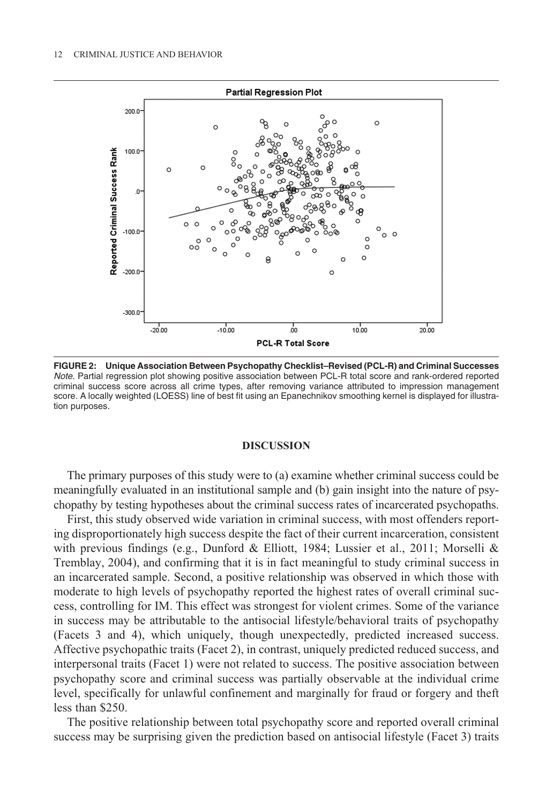

**FIGURE 2: Unique Association Between Psychopathy Checklist–Revised (PCL-R) and Criminal Successes** *Note*. Partial regression plot showing positive association between PCL-R total score and rank-ordered reported criminal success score across all crime types, after removing variance attributed to impression management score. A locally weighted (LOESS) line of best fit using an Epanechnikov smoothing kernel is displayed for illustration purposes.

# **DISCUSSION**

The primary purposes of this study were to (a) examine whether criminal success could be meaningfully evaluated in an institutional sample and (b) gain insight into the nature of psychopathy by testing hypotheses about the criminal success rates of incarcerated psychopaths.

First, this study observed wide variation in criminal success, with most offenders reporting disproportionately high success despite the fact of their current incarceration, consistent with previous findings (e.g., Dunford & Elliott, 1984; Lussier et al., 2011; Morselli & Tremblay, 2004), and confirming that it is in fact meaningful to study criminal success in an incarcerated sample. Second, a positive relationship was observed in which those with moderate to high levels of psychopathy reported the highest rates of overall criminal success, controlling for IM. This effect was strongest for violent crimes. Some of the variance in success may be attributable to the antisocial lifestyle/behavioral traits of psychopathy (Facets 3 and 4), which uniquely, though unexpectedly, predicted increased success. Affective psychopathic traits (Facet 2), in contrast, uniquely predicted reduced success, and interpersonal traits (Facet 1) were not related to success. The positive association between psychopathy score and criminal success was partially observable at the individual crime level, specifically for unlawful confinement and marginally for fraud or forgery and theft less than \$250.

The positive relationship between total psychopathy score and reported overall criminal success may be surprising given the prediction based on antisocial lifestyle (Facet 3) traits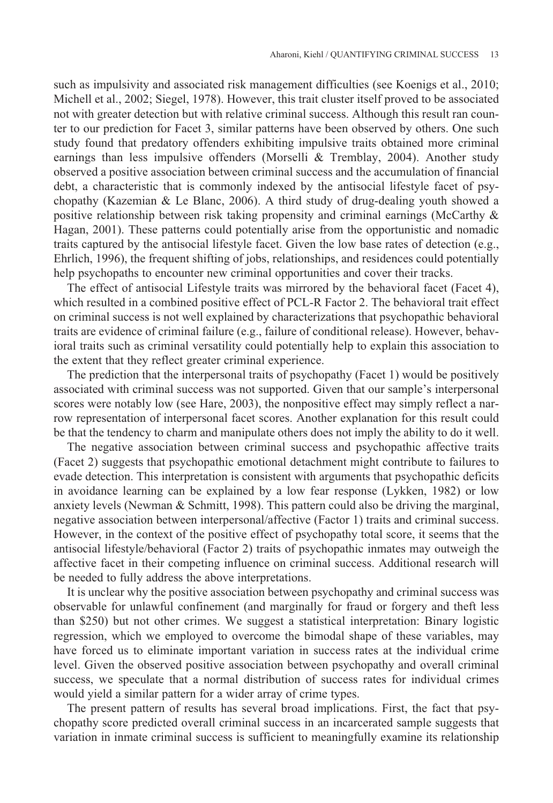such as impulsivity and associated risk management difficulties (see Koenigs et al., 2010; Michell et al., 2002; Siegel, 1978). However, this trait cluster itself proved to be associated not with greater detection but with relative criminal success. Although this result ran counter to our prediction for Facet 3, similar patterns have been observed by others. One such study found that predatory offenders exhibiting impulsive traits obtained more criminal earnings than less impulsive offenders (Morselli & Tremblay, 2004). Another study observed a positive association between criminal success and the accumulation of financial debt, a characteristic that is commonly indexed by the antisocial lifestyle facet of psychopathy (Kazemian & Le Blanc, 2006). A third study of drug-dealing youth showed a positive relationship between risk taking propensity and criminal earnings (McCarthy & Hagan, 2001). These patterns could potentially arise from the opportunistic and nomadic traits captured by the antisocial lifestyle facet. Given the low base rates of detection (e.g., Ehrlich, 1996), the frequent shifting of jobs, relationships, and residences could potentially help psychopaths to encounter new criminal opportunities and cover their tracks.

The effect of antisocial Lifestyle traits was mirrored by the behavioral facet (Facet 4), which resulted in a combined positive effect of PCL-R Factor 2. The behavioral trait effect on criminal success is not well explained by characterizations that psychopathic behavioral traits are evidence of criminal failure (e.g., failure of conditional release). However, behavioral traits such as criminal versatility could potentially help to explain this association to the extent that they reflect greater criminal experience.

The prediction that the interpersonal traits of psychopathy (Facet 1) would be positively associated with criminal success was not supported. Given that our sample's interpersonal scores were notably low (see Hare, 2003), the nonpositive effect may simply reflect a narrow representation of interpersonal facet scores. Another explanation for this result could be that the tendency to charm and manipulate others does not imply the ability to do it well.

The negative association between criminal success and psychopathic affective traits (Facet 2) suggests that psychopathic emotional detachment might contribute to failures to evade detection. This interpretation is consistent with arguments that psychopathic deficits in avoidance learning can be explained by a low fear response (Lykken, 1982) or low anxiety levels (Newman & Schmitt, 1998). This pattern could also be driving the marginal, negative association between interpersonal/affective (Factor 1) traits and criminal success. However, in the context of the positive effect of psychopathy total score, it seems that the antisocial lifestyle/behavioral (Factor 2) traits of psychopathic inmates may outweigh the affective facet in their competing influence on criminal success. Additional research will be needed to fully address the above interpretations.

It is unclear why the positive association between psychopathy and criminal success was observable for unlawful confinement (and marginally for fraud or forgery and theft less than \$250) but not other crimes. We suggest a statistical interpretation: Binary logistic regression, which we employed to overcome the bimodal shape of these variables, may have forced us to eliminate important variation in success rates at the individual crime level. Given the observed positive association between psychopathy and overall criminal success, we speculate that a normal distribution of success rates for individual crimes would yield a similar pattern for a wider array of crime types.

The present pattern of results has several broad implications. First, the fact that psychopathy score predicted overall criminal success in an incarcerated sample suggests that variation in inmate criminal success is sufficient to meaningfully examine its relationship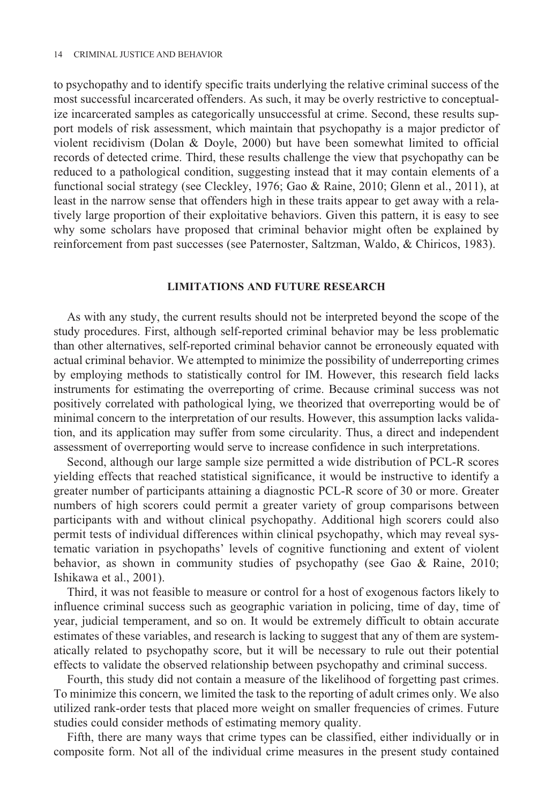#### 14 CRIMINAL JUSTICE AND BEHAVIOR

to psychopathy and to identify specific traits underlying the relative criminal success of the most successful incarcerated offenders. As such, it may be overly restrictive to conceptualize incarcerated samples as categorically unsuccessful at crime. Second, these results support models of risk assessment, which maintain that psychopathy is a major predictor of violent recidivism (Dolan & Doyle, 2000) but have been somewhat limited to official records of detected crime. Third, these results challenge the view that psychopathy can be reduced to a pathological condition, suggesting instead that it may contain elements of a functional social strategy (see Cleckley, 1976; Gao & Raine, 2010; Glenn et al., 2011), at least in the narrow sense that offenders high in these traits appear to get away with a relatively large proportion of their exploitative behaviors. Given this pattern, it is easy to see why some scholars have proposed that criminal behavior might often be explained by reinforcement from past successes (see Paternoster, Saltzman, Waldo, & Chiricos, 1983).

# **LIMITATIONS AND FUTURE RESEARCH**

As with any study, the current results should not be interpreted beyond the scope of the study procedures. First, although self-reported criminal behavior may be less problematic than other alternatives, self-reported criminal behavior cannot be erroneously equated with actual criminal behavior. We attempted to minimize the possibility of underreporting crimes by employing methods to statistically control for IM. However, this research field lacks instruments for estimating the overreporting of crime. Because criminal success was not positively correlated with pathological lying, we theorized that overreporting would be of minimal concern to the interpretation of our results. However, this assumption lacks validation, and its application may suffer from some circularity. Thus, a direct and independent assessment of overreporting would serve to increase confidence in such interpretations.

Second, although our large sample size permitted a wide distribution of PCL-R scores yielding effects that reached statistical significance, it would be instructive to identify a greater number of participants attaining a diagnostic PCL-R score of 30 or more. Greater numbers of high scorers could permit a greater variety of group comparisons between participants with and without clinical psychopathy. Additional high scorers could also permit tests of individual differences within clinical psychopathy, which may reveal systematic variation in psychopaths' levels of cognitive functioning and extent of violent behavior, as shown in community studies of psychopathy (see Gao & Raine, 2010; Ishikawa et al., 2001).

Third, it was not feasible to measure or control for a host of exogenous factors likely to influence criminal success such as geographic variation in policing, time of day, time of year, judicial temperament, and so on. It would be extremely difficult to obtain accurate estimates of these variables, and research is lacking to suggest that any of them are systematically related to psychopathy score, but it will be necessary to rule out their potential effects to validate the observed relationship between psychopathy and criminal success.

Fourth, this study did not contain a measure of the likelihood of forgetting past crimes. To minimize this concern, we limited the task to the reporting of adult crimes only. We also utilized rank-order tests that placed more weight on smaller frequencies of crimes. Future studies could consider methods of estimating memory quality.

Fifth, there are many ways that crime types can be classified, either individually or in composite form. Not all of the individual crime measures in the present study contained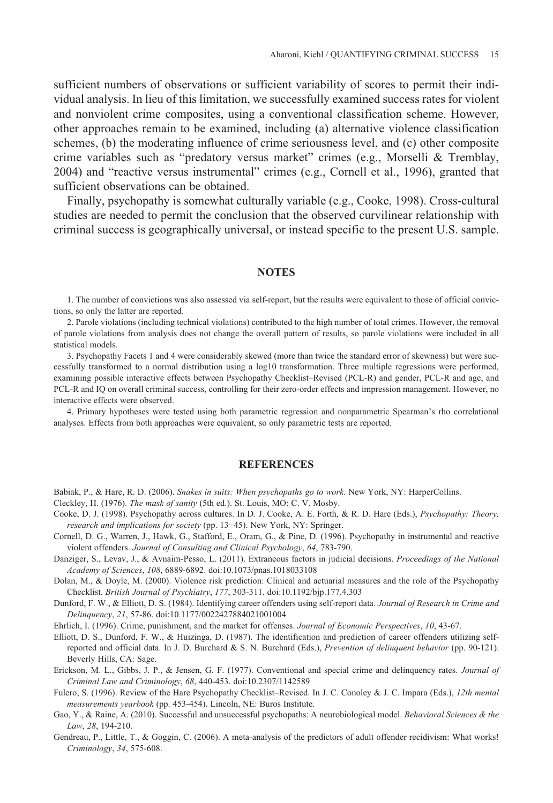sufficient numbers of observations or sufficient variability of scores to permit their individual analysis. In lieu of this limitation, we successfully examined success rates for violent and nonviolent crime composites, using a conventional classification scheme. However, other approaches remain to be examined, including (a) alternative violence classification schemes, (b) the moderating influence of crime seriousness level, and (c) other composite crime variables such as "predatory versus market" crimes (e.g., Morselli & Tremblay, 2004) and "reactive versus instrumental" crimes (e.g., Cornell et al., 1996), granted that sufficient observations can be obtained.

Finally, psychopathy is somewhat culturally variable (e.g., Cooke, 1998). Cross-cultural studies are needed to permit the conclusion that the observed curvilinear relationship with criminal success is geographically universal, or instead specific to the present U.S. sample.

# **NOTES**

1. The number of convictions was also assessed via self-report, but the results were equivalent to those of official convictions, so only the latter are reported.

2. Parole violations (including technical violations) contributed to the high number of total crimes. However, the removal of parole violations from analysis does not change the overall pattern of results, so parole violations were included in all statistical models.

3. Psychopathy Facets 1 and 4 were considerably skewed (more than twice the standard error of skewness) but were successfully transformed to a normal distribution using a log10 transformation. Three multiple regressions were performed, examining possible interactive effects between Psychopathy Checklist–Revised (PCL-R) and gender, PCL-R and age, and PCL-R and IQ on overall criminal success, controlling for their zero-order effects and impression management. However, no interactive effects were observed.

4. Primary hypotheses were tested using both parametric regression and nonparametric Spearman's rho correlational analyses. Effects from both approaches were equivalent, so only parametric tests are reported.

# **REFERENCES**

- Babiak, P., & Hare, R. D. (2006). *Snakes in suits: When psychopaths go to work*. New York, NY: HarperCollins.
- Cleckley, H. (1976). *The mask of sanity* (5th ed.). St. Louis, MO: C. V. Mosby.
- Cooke, D. J. (1998). Psychopathy across cultures. In D. J. Cooke, A. E. Forth, & R. D. Hare (Eds.), *Psychopathy: Theory, research and implications for society* (pp. 13−45). New York, NY: Springer.
- Cornell, D. G., Warren, J., Hawk, G., Stafford, E., Oram, G., & Pine, D. (1996). Psychopathy in instrumental and reactive violent offenders. *Journal of Consulting and Clinical Psychology*, *64*, 783-790.
- Danziger, S., Levav, J., & Avnaim-Pesso, L. (2011). Extraneous factors in judicial decisions. *Proceedings of the National Academy of Sciences*, *108*, 6889-6892. doi:10.1073/pnas.1018033108
- Dolan, M., & Doyle, M. (2000). Violence risk prediction: Clinical and actuarial measures and the role of the Psychopathy Checklist. *British Journal of Psychiatry*, *177*, 303-311. doi:10.1192/bjp.177.4.303

Dunford, F. W., & Elliott, D. S. (1984). Identifying career offenders using self-report data. *Journal of Research in Crime and Delinquency*, *21*, 57-86. doi:10.1177/0022427884021001004

Ehrlich, I. (1996). Crime, punishment, and the market for offenses. *Journal of Economic Perspectives*, *10*, 43-67.

- Elliott, D. S., Dunford, F. W., & Huizinga, D. (1987). The identification and prediction of career offenders utilizing selfreported and official data. In J. D. Burchard & S. N. Burchard (Eds.), *Prevention of delinquent behavior* (pp. 90-121). Beverly Hills, CA: Sage.
- Erickson, M. L., Gibbs, J. P., & Jensen, G. F. (1977). Conventional and special crime and delinquency rates. *Journal of Criminal Law and Criminology*, *68*, 440-453. doi:10.2307/1142589
- Fulero, S. (1996). Review of the Hare Psychopathy Checklist–Revised. In J. C. Conoley & J. C. Impara (Eds.), *12th mental measurements yearbook* (pp. 453-454). Lincoln, NE: Buros Institute.
- Gao, Y., & Raine, A. (2010). Successful and unsuccessful psychopaths: A neurobiological model. *Behavioral Sciences & the Law*, *28*, 194-210.
- Gendreau, P., Little, T., & Goggin, C. (2006). A meta-analysis of the predictors of adult offender recidivism: What works! *Criminology*, *34*, 575-608.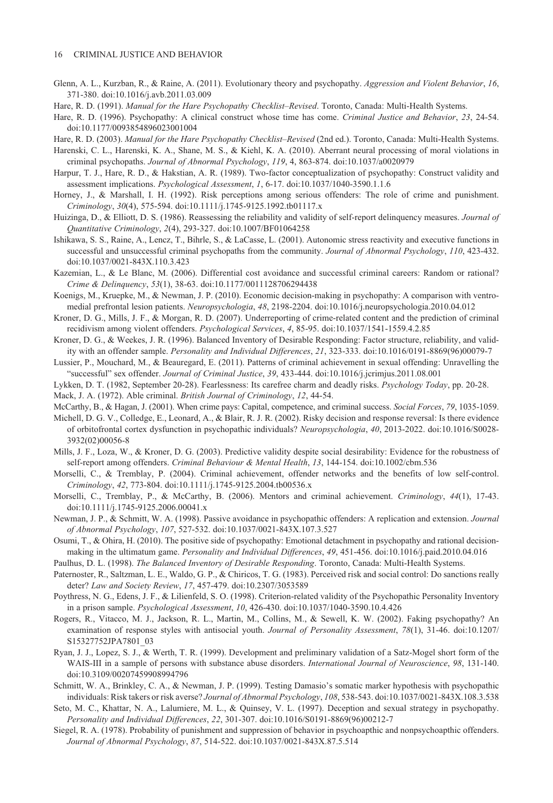- Glenn, A. L., Kurzban, R., & Raine, A. (2011). Evolutionary theory and psychopathy. *Aggression and Violent Behavior*, *16*, 371-380. doi:10.1016/j.avb.2011.03.009
- Hare, R. D. (1991). *Manual for the Hare Psychopathy Checklist–Revised*. Toronto, Canada: Multi-Health Systems.
- Hare, R. D. (1996). Psychopathy: A clinical construct whose time has come. *Criminal Justice and Behavior*, *23*, 24-54. doi:10.1177/0093854896023001004

Hare, R. D. (2003). *Manual for the Hare Psychopathy Checklist–Revised* (2nd ed.). Toronto, Canada: Multi-Health Systems.

Harenski, C. L., Harenski, K. A., Shane, M. S., & Kiehl, K. A. (2010). Aberrant neural processing of moral violations in criminal psychopaths. *Journal of Abnormal Psychology*, *119*, 4, 863-874. doi:10.1037/a0020979

- Harpur, T. J., Hare, R. D., & Hakstian, A. R. (1989). Two-factor conceptualization of psychopathy: Construct validity and assessment implications. *Psychological Assessment*, *1*, 6-17. doi:10.1037/1040-3590.1.1.6
- Horney, J., & Marshall, I. H. (1992). Risk perceptions among serious offenders: The role of crime and punishment. *Criminology*, *30*(4), 575-594. doi:10.1111/j.1745-9125.1992.tb01117.x
- Huizinga, D., & Elliott, D. S. (1986). Reassessing the reliability and validity of self-report delinquency measures. *Journal of Quantitative Criminology*, *2*(4), 293-327. doi:10.1007/BF01064258
- Ishikawa, S. S., Raine, A., Lencz, T., Bihrle, S., & LaCasse, L. (2001). Autonomic stress reactivity and executive functions in successful and unsuccessful criminal psychopaths from the community. *Journal of Abnormal Psychology*, *110*, 423-432. doi:10.1037/0021-843X.110.3.423
- Kazemian, L., & Le Blanc, M. (2006). Differential cost avoidance and successful criminal careers: Random or rational? *Crime & Delinquency*, *53*(1), 38-63. doi:10.1177/0011128706294438
- Koenigs, M., Kruepke, M., & Newman, J. P. (2010). Economic decision-making in psychopathy: A comparison with ventromedial prefrontal lesion patients. *Neuropsychologia*, *48*, 2198-2204. doi:10.1016/j.neuropsychologia.2010.04.012
- Kroner, D. G., Mills, J. F., & Morgan, R. D. (2007). Underreporting of crime-related content and the prediction of criminal recidivism among violent offenders. *Psychological Services*, *4*, 85-95. doi:10.1037/1541-1559.4.2.85
- Kroner, D. G., & Weekes, J. R. (1996). Balanced Inventory of Desirable Responding: Factor structure, reliability, and validity with an offender sample. *Personality and Individual Differences*, *21*, 323-333. doi:10.1016/0191-8869(96)00079-7
- Lussier, P., Mouchard, M., & Beauregard, E. (2011). Patterns of criminal achievement in sexual offending: Unravelling the "successful" sex offender. *Journal of Criminal Justice*, *39*, 433-444. doi:10.1016/j.jcrimjus.2011.08.001
- Lykken, D. T. (1982, September 20-28). Fearlessness: Its carefree charm and deadly risks. *Psychology Today*, pp. 20-28.
- Mack, J. A. (1972). Able criminal. *British Journal of Criminology*, *12*, 44-54.
- McCarthy, B., & Hagan, J. (2001). When crime pays: Capital, competence, and criminal success. *Social Forces*, *79*, 1035-1059.
- Michell, D. G. V., Colledge, E., Leonard, A., & Blair, R. J. R. (2002). Risky decision and response reversal: Is there evidence of orbitofrontal cortex dysfunction in psychopathic individuals? *Neuropsychologia*, *40*, 2013-2022. doi:10.1016/S0028- 3932(02)00056-8
- Mills, J. F., Loza, W., & Kroner, D. G. (2003). Predictive validity despite social desirability: Evidence for the robustness of self-report among offenders. *Criminal Behaviour & Mental Health*, *13*, 144-154. doi:10.1002/cbm.536
- Morselli, C., & Tremblay, P. (2004). Criminal achievement, offender networks and the benefits of low self-control. *Criminology*, *42*, 773-804. doi:10.1111/j.1745-9125.2004.tb00536.x
- Morselli, C., Tremblay, P., & McCarthy, B. (2006). Mentors and criminal achievement. *Criminology*, *44*(1), 17-43. doi:10.1111/j.1745-9125.2006.00041.x
- Newman, J. P., & Schmitt, W. A. (1998). Passive avoidance in psychopathic offenders: A replication and extension. *Journal of Abnormal Psychology*, *107*, 527-532. doi:10.1037/0021-843X.107.3.527
- Osumi, T., & Ohira, H. (2010). The positive side of psychopathy: Emotional detachment in psychopathy and rational decisionmaking in the ultimatum game. *Personality and Individual Differences*, *49*, 451-456. doi:10.1016/j.paid.2010.04.016
- Paulhus, D. L. (1998). *The Balanced Inventory of Desirable Responding*. Toronto, Canada: Multi-Health Systems.
- Paternoster, R., Saltzman, L. E., Waldo, G. P., & Chiricos, T. G. (1983). Perceived risk and social control: Do sanctions really deter? *Law and Society Review*, *17*, 457-479. doi:10.2307/3053589
- Poythress, N. G., Edens, J. F., & Lilienfeld, S. O. (1998). Criterion-related validity of the Psychopathic Personality Inventory in a prison sample. *Psychological Assessment*, *10*, 426-430. doi:10.1037/1040-3590.10.4.426
- Rogers, R., Vitacco, M. J., Jackson, R. L., Martin, M., Collins, M., & Sewell, K. W. (2002). Faking psychopathy? An examination of response styles with antisocial youth. *Journal of Personality Assessment*, *78*(1), 31-46. doi:10.1207/ S15327752JPA7801\_03
- Ryan, J. J., Lopez, S. J., & Werth, T. R. (1999). Development and preliminary validation of a Satz-Mogel short form of the WAIS-III in a sample of persons with substance abuse disorders. *International Journal of Neuroscience*, *98*, 131-140. doi:10.3109/00207459908994796
- Schmitt, W. A., Brinkley, C. A., & Newman, J. P. (1999). Testing Damasio's somatic marker hypothesis with psychopathic individuals: Risk takers or risk averse? *Journal of Abnormal Psychology*, *108*, 538-543. doi:10.1037/0021-843X.108.3.538
- Seto, M. C., Khattar, N. A., Lalumiere, M. L., & Quinsey, V. L. (1997). Deception and sexual strategy in psychopathy. *Personality and Individual Differences*, *22*, 301-307. doi:10.1016/S0191-8869(96)00212-7
- Siegel, R. A. (1978). Probability of punishment and suppression of behavior in psychoapthic and nonpsychoapthic offenders. *Journal of Abnormal Psychology*, *87*, 514-522. doi:10.1037/0021-843X.87.5.514